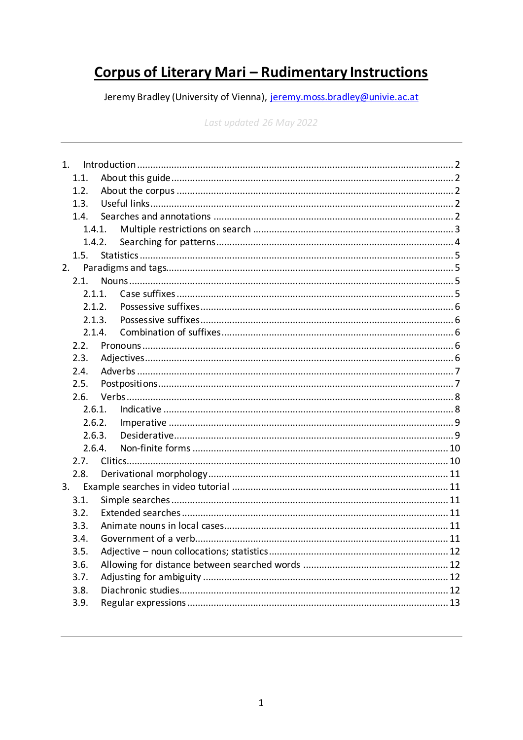# **Corpus of Literary Mari - Rudimentary Instructions**

Jeremy Bradley (University of Vienna), jeremy.moss.bradley@univie.ac.at

Last updated 26 May 2022

|    | 1.1.   |  |  |
|----|--------|--|--|
|    | 1.2.   |  |  |
|    | 1.3.   |  |  |
|    | 1.4.   |  |  |
|    | 1.4.1. |  |  |
|    | 1.4.2. |  |  |
|    | 1.5.   |  |  |
| 2. |        |  |  |
|    | 2.1.   |  |  |
|    | 2.1.1. |  |  |
|    | 2.1.2. |  |  |
|    | 2.1.3. |  |  |
|    | 2.1.4. |  |  |
|    | 2.2.   |  |  |
|    | 2.3.   |  |  |
|    | 2.4.   |  |  |
|    | 2.5.   |  |  |
|    | 2.6.   |  |  |
|    | 2.6.1. |  |  |
|    | 2.6.2. |  |  |
|    | 2.6.3. |  |  |
|    | 2.6.4. |  |  |
|    | 2.7.   |  |  |
|    | 2.8.   |  |  |
| 3. |        |  |  |
|    | 3.1.   |  |  |
|    | 3.2.   |  |  |
|    | 3.3.   |  |  |
|    | 3.4.   |  |  |
|    | 3.5.   |  |  |
|    | 3.6.   |  |  |
|    | 3.7.   |  |  |
|    | 3.8.   |  |  |
|    | 3.9.   |  |  |
|    |        |  |  |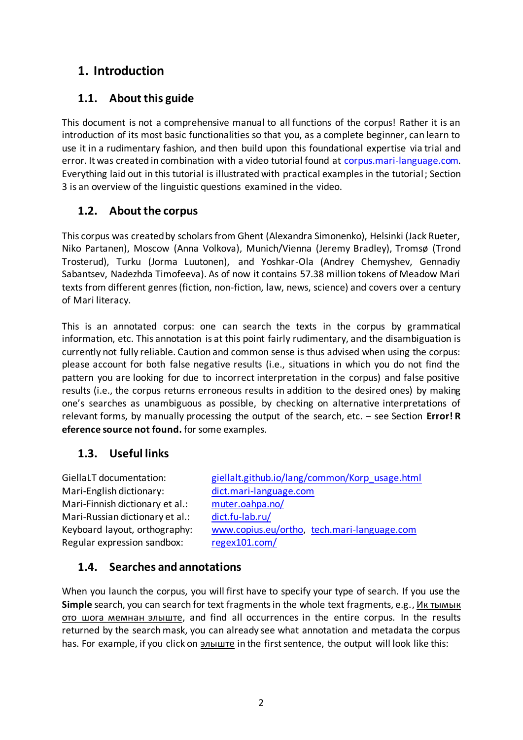# <span id="page-1-0"></span>**1. Introduction**

## <span id="page-1-1"></span>**1.1. About this guide**

This document is not a comprehensive manual to all functions of the corpus! Rather it is an introduction of its most basic functionalities so that you, as a complete beginner, can learn to use it in a rudimentary fashion, and then build upon this foundational expertise via trial and error. It was created in combination with a video tutorial found at [corpus.mari-language.com.](http://corpus.mari-language.com/) Everything laid out in this tutorial is illustrated with practical examples in the tutorial; Section 3 is an overview of the linguistic questions examined in the video.

## <span id="page-1-2"></span>**1.2. About the corpus**

This corpus was created by scholars from Ghent (Alexandra Simonenko), Helsinki (Jack Rueter, Niko Partanen), Moscow (Anna Volkova), Munich/Vienna (Jeremy Bradley), Tromsø (Trond Trosterud), Turku (Jorma Luutonen), and Yoshkar-Ola (Andrey Chemyshev, Gennadiy Sabantsev, Nadezhda Timofeeva). As of now it contains 57.38 million tokens of Meadow Mari texts from different genres (fiction, non-fiction, law, news, science) and covers over a century of Mari literacy.

This is an annotated corpus: one can search the texts in the corpus by grammatical information, etc. This annotation is at this point fairly rudimentary, and the disambiguation is currently not fully reliable. Caution and common sense is thus advised when using the corpus: please account for both false negative results (i.e., situations in which you do not find the pattern you are looking for due to incorrect interpretation in the corpus) and false positive results (i.e., the corpus returns erroneous results in addition to the desired ones) by making one's searches as unambiguous as possible, by checking on alternative interpretations of relevant forms, by manually processing the output of the search, etc. – see Section **Error! R eference source not found.** for some examples.

## <span id="page-1-3"></span>**1.3. Useful links**

Mari-English dictionary: [dict.mari-language.com](http://dict.mari-language.com/) Mari-Finnish dictionary et al.: [muter.oahpa.no/](https://muter.oahpa.no/) Mari-Russian dictionary et al.: [dict.fu-lab.ru/](https://dict.fu-lab.ru/) Regular expression sandbox: [regex101.com/](https://regex101.com/)

GiellaLT documentation: [giellalt.github.io/lang/common/Korp\\_usage.html](https://giellalt.github.io/lang/common/Korp_usage.html) Keyboard layout, orthography: [www.copius.eu/ortho,](http://www.copius.eu/ortho) [tech.mari-language.com](http://tech.mari-language.com/)

## <span id="page-1-4"></span>**1.4. Searches and annotations**

When you launch the corpus, you will first have to specify your type of search. If you use the **Simple** search, you can search for text fragments in the whole text fragments, e.g., Ик тымык ото шога мемнан элыште, and find all occurrences in the entire corpus. In the results returned by the search mask, you can already see what annotation and metadata the corpus has. For example, if you click on элыште in the first sentence, the output will look like this: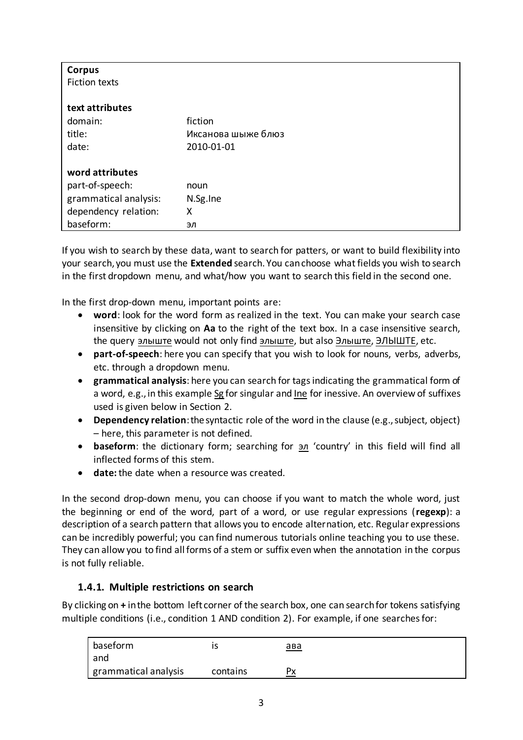| <b>Corpus</b>         |                    |
|-----------------------|--------------------|
| <b>Fiction texts</b>  |                    |
|                       |                    |
| text attributes       |                    |
| domain:               | fiction            |
| title:                | Иксанова шыже блюз |
| date:                 | 2010-01-01         |
| word attributes       |                    |
| part-of-speech:       | noun               |
| grammatical analysis: | N.Sg.Ine           |
| dependency relation:  | Χ                  |
| baseform:             | эл                 |

If you wish to search by these data, want to search for patters, or want to build flexibility into your search, you must use the **Extended** search. You can choose what fields you wish to search in the first dropdown menu, and what/how you want to search this field in the second one.

In the first drop-down menu, important points are:

- **word**: look for the word form as realized in the text. You can make your search case insensitive by clicking on **Aa** to the right of the text box. In a case insensitive search, the query элыште would not only find элыште, but also Элыште, ЭЛЫШТЕ, etc.
- **part-of-speech**: here you can specify that you wish to look for nouns, verbs, adverbs, etc. through a dropdown menu.
- **grammatical analysis**: here you can search for tags indicating the grammatical form of a word, e.g., in this example Sg for singular and Ine for inessive. An overview of suffixes used is given below in Section [2.](#page-4-1)
- **Dependency relation**:the syntactic role of the word in the clause (e.g., subject, object) – here, this parameter is not defined.
- **baseform**: the dictionary form; searching for  $\frac{3n}{2}$  'country' in this field will find all inflected forms of this stem.
- **date:** the date when a resource was created.

In the second drop-down menu, you can choose if you want to match the whole word, just the beginning or end of the word, part of a word, or use regular expressions (**regexp**): a description of a search pattern that allows you to encode alternation, etc. Regular expressions can be incredibly powerful; you can find numerous tutorials online teaching you to use these. They can allow you to find all forms of a stem or suffix even when the annotation in the corpus is not fully reliable.

### <span id="page-2-0"></span>**1.4.1. Multiple restrictions on search**

By clicking on **+** in the bottom left corner of the search box, one can search for tokens satisfying multiple conditions (i.e., condition 1 AND condition 2). For example, if one searches for:

| baseform               |          | <u>ава</u> |
|------------------------|----------|------------|
| and                    |          |            |
| I grammatical analysis | contains | Px         |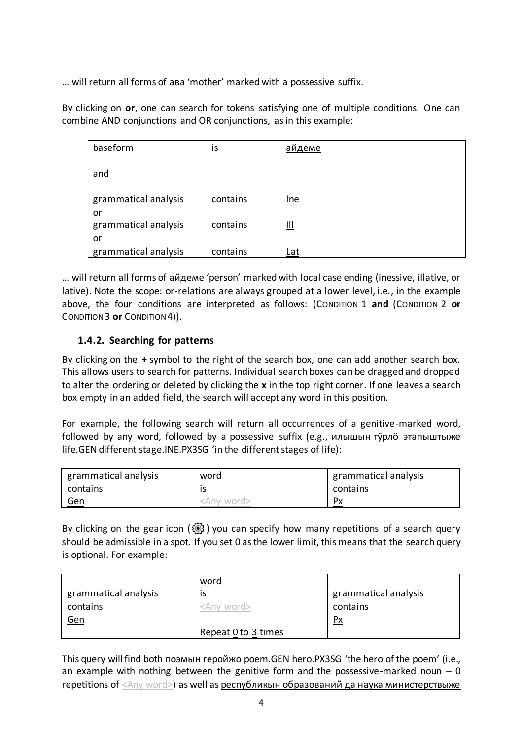... will return all forms of aba 'mother' marked with a possessive suffix.

By clicking on or, one can search for tokens satisfying one of multiple conditions. One can combine AND conjunctions and OR conjunctions, as in this example:

| baseform                   | is       | айдеме     |
|----------------------------|----------|------------|
| and                        |          |            |
| grammatical analysis<br>or | contains | Ine        |
| grammatical analysis       | contains | Щ          |
| or<br>grammatical analysis | contains | <u>Lat</u> |

... will return all forms of aйдеме 'person' marked with local case ending (inessive, illative, or lative). Note the scope: or-relations are always grouped at a lower level, i.e., in the example above, the four conditions are interpreted as follows: (CONDITION 1 and (CONDITION 2 or CONDITION 3 or CONDITION 4)).

### <span id="page-3-0"></span>1.4.2. Searching for patterns

By clicking on the  $+$  symbol to the right of the search box, one can add another search box. This allows users to search for patterns. Individual search boxes can be dragged and dropped to alter the ordering or deleted by clicking the x in the top right corner. If one leaves a search box empty in an added field, the search will accept any word in this position.

For example, the following search will return all occurrences of a genitive-marked word, followed by any word, followed by a possessive suffix (e.g., илышын турло этапыштыже life.GEN different stage.INE.PX3SG 'in the different stages of life):

| grammatical analysis | word                | grammatical analysis |
|----------------------|---------------------|----------------------|
| contains             |                     | contains             |
| <u>Gen</u>           | <anv word=""></anv> | Px                   |

By clicking on the gear icon  $\langle \text{Q} \rangle$ ) you can specify how many repetitions of a search query should be admissible in a spot. If you set 0 as the lower limit, this means that the search query is optional. For example:

|                      | word                |                      |
|----------------------|---------------------|----------------------|
| grammatical analysis | 1S                  | grammatical analysis |
| contains             | <any word=""></any> | contains             |
| <u>Gen</u>           |                     | $\frac{Px}{x}$       |
|                      | Repeat 0 to 3 times |                      |

This query will find both поэмын геройжо poem.GEN hero.PX3SG 'the hero of the poem' (i.e., an example with nothing between the genitive form and the possessive-marked noun  $-0$ repetitions of <Any word>) as well as республикын образований да наука министерствыже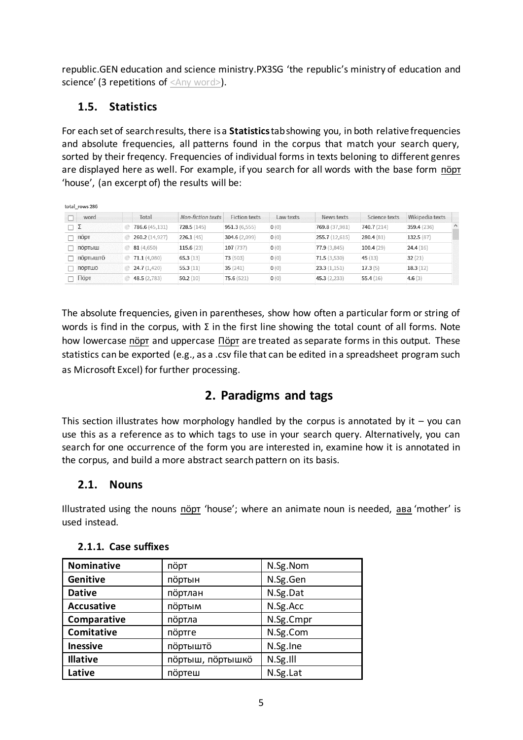republic.GEN education and science ministry.PX3SG 'the republic's ministry of education and science' (3 repetitions of <Any word>).

# <span id="page-4-0"></span>**1.5. Statistics**

For each set of search results, there is a **Statistics**tab showing you, in both relative frequencies and absolute frequencies, all patterns found in the corpus that match your search query, sorted by their freqency. Frequencies of individual forms in texts beloning to different genres are displayed here as well. For example, if you search for all words with the base form nöpt 'house', (an excerpt of) the results will be:

| total rows 286  |                |                          |                      |                  |                |               |                 |          |
|-----------------|----------------|--------------------------|----------------------|------------------|----------------|---------------|-----------------|----------|
| word            | Total          | <b>Non-fiction texts</b> | <b>Fiction texts</b> | Law texts        | News texts     | Science texts | Wikipedia texts |          |
| $\Box$ $\Sigma$ | 786.6 (45,131) | 728.5(145)               | 951.3(6,555)         | $\mathbf{0}$ (0) | 769.8 (37,981) | 740.7 (214)   | 359.4 (236)     | $\wedge$ |
| порт            | 260.2 (14,927) | 226.1(45)                | 304.6 (2,099)        | O(0)             | 255.7 (12,615) | 280.4(81)     | 132.5(87)       |          |
| ПОРТЫШ          | 81 (4,650)     | 115.6(23)                | 107(737)             | 0(0)             | 77.9(3,845)    | 100.4(29)     | 24.4(16)        |          |
| ПОРТЫШТО        | 71.1(4,080)    | 65.3(13)                 | 73(503)              | O(0)             | 71.5(3,530)    | 45 $(13)$     | 32(21)          |          |
| ПОРТШО          | 24.7(1,420)    | 55.3(11)                 | 35(241)              | 0(0)             | 23.3(1,151)    | 17.3(5)       | 18.3(12)        |          |
| Порт            | 48.5 (2,783)   | 50.2(10)                 | 75.6(521)            | O(0)             | 45.3(2,233)    | 55.4(16)      | 4.6 $(3)$       |          |

The absolute frequencies, given in parentheses, show how often a particular form or string of words is find in the corpus, with  $\Sigma$  in the first line showing the total count of all forms. Note how lowercase пӧрт and uppercase Пӧрт are treated as separate forms in this output. These statistics can be exported (e.g., as a .csv file that can be edited in a spreadsheet program such as Microsoft Excel) for further processing.

# **2. Paradigms and tags**

<span id="page-4-1"></span>This section illustrates how morphology handled by the corpus is annotated by it  $-$  you can use this as a reference as to which tags to use in your search query. Alternatively, you can search for one occurrence of the form you are interested in, examine how it is annotated in the corpus, and build a more abstract search pattern on its basis.

## <span id="page-4-2"></span>**2.1. Nouns**

Illustrated using the nouns nöpr 'house'; where an animate noun is needed, asa 'mother' is used instead.

| <b>Nominative</b> | пöрт             | N.Sg.Nom  |
|-------------------|------------------|-----------|
| Genitive          | портын           | N.Sg.Gen  |
| <b>Dative</b>     | портлан          | N.Sg.Dat  |
| <b>Accusative</b> | портым           | N.Sg.Acc  |
| Comparative       | портла           | N.Sg.Cmpr |
| Comitative        | портге           | N.Sg.Com  |
| <b>Inessive</b>   | портышто         | N.Sg.Ine  |
| <b>Illative</b>   | портыш, портышко | N.Sg.III  |
| Lative            | портеш           | N.Sg.Lat  |

## <span id="page-4-3"></span>**2.1.1. Case suffixes**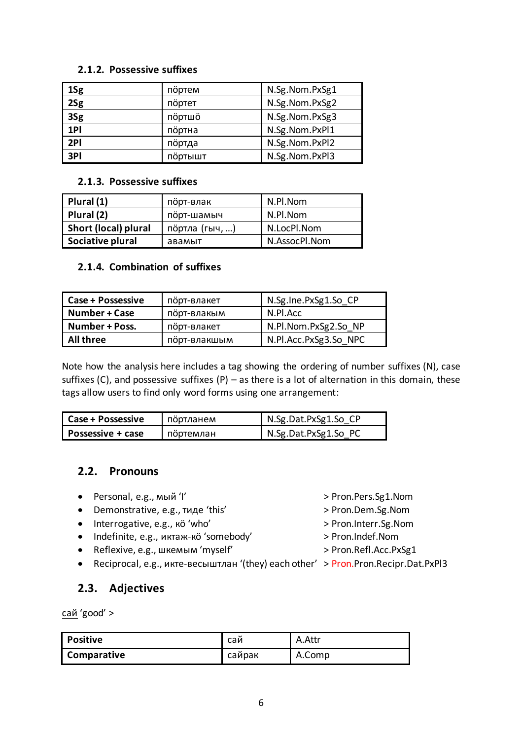#### <span id="page-5-0"></span>2.1.2. Possessive suffixes

| 1Sg | портем  | N.Sg.Nom.PxSg1 |
|-----|---------|----------------|
| 2Sg | портет  | N.Sg.Nom.PxSg2 |
| 3Sg | портшо  | N.Sg.Nom.PxSg3 |
| 1PI | портна  | N.Sg.Nom.PxPl1 |
| 2PI | портда  | N.Sg.Nom.PxPl2 |
| 3PI | портышт | N.Sg.Nom.PxPl3 |

#### <span id="page-5-1"></span>2.1.3. Possessive suffixes

| Plural (1)           | порт-влак              | N.Pl.Nom      |
|----------------------|------------------------|---------------|
| Plural (2)           | N.Pl.Nom<br>порт-шамыч |               |
| Short (local) plural | портла (гыч, )         | N.LocPl.Nom   |
| Sociative plural     | авамыт                 | N.AssocPl.Nom |

### <span id="page-5-2"></span>2.1.4. Combination of suffixes

| <b>Case + Possessive</b> | порт-влакет  | N.Sg.Ine.PxSg1.So CP  |
|--------------------------|--------------|-----------------------|
| <b>Number + Case</b>     | порт-влакым  | N.Pl.Acc              |
| Number + Poss.           | порт-влакет  | N.Pl.Nom.PxSg2.So NP  |
| <b>All three</b>         | порт-влакшым | N.Pl.Acc.PxSg3.So NPC |

Note how the analysis here includes a tag showing the ordering of number suffixes (N), case suffixes (C), and possessive suffixes (P)  $-$  as there is a lot of alternation in this domain, these tags allow users to find only word forms using one arrangement:

| <b>Case + Possessive</b> | портланем | N.Sg.Dat.PxSg1.So CP |
|--------------------------|-----------|----------------------|
| <b>Possessive + case</b> | портемлан | N.Sg.Dat.PxSg1.So PC |

### <span id="page-5-3"></span>2.2. Pronouns

- Personal, e.g., мый 'l'
- Demonstrative, e.g., тиде 'this'
- · Interrogative, e.g., kö 'who'
- Indefinite, e.g., иктаж-ко 'somebody'
- Reflexive, e.g., шкемым 'myself'
- <span id="page-5-4"></span>• Reciprocal, e.g., икте-весыштлан '(they) each other' > Pron.Pron.Recipr.Dat.PxPl3

### 2.3. Adjectives

сай 'good' >

| <b>Positive</b> | сай    | A.Attr |
|-----------------|--------|--------|
| Comparative     | сайрак | A.Comp |

- > Pron.Pers.Sg1.Nom
- > Pron.Dem.Sg.Nom
- > Pron.Interr.Sg.Nom
- > Pron.Indef.Nom
- > Pron.Refl.Acc.PxSg1
-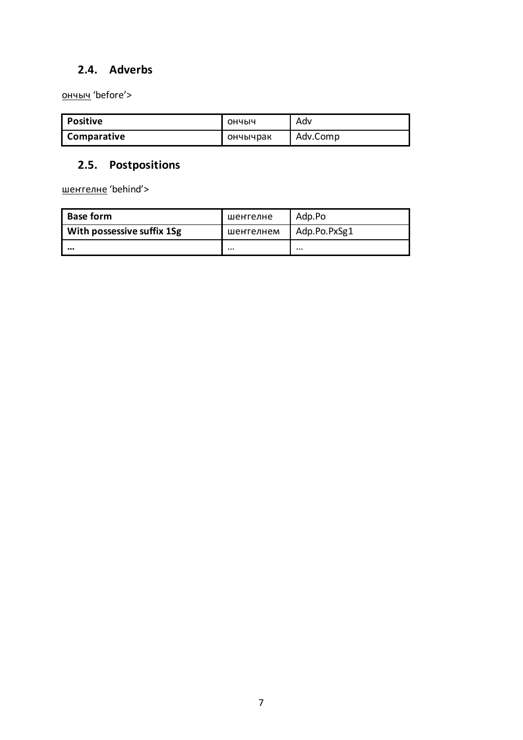# <span id="page-6-0"></span>**2.4. Adverbs**

ончыч 'before'>

| Positive    | ОНЧЫЧ    | Adv      |
|-------------|----------|----------|
| Comparative | ончычрак | Adv.Comp |

# <span id="page-6-1"></span>**2.5. Postpositions**

шенгелне 'behind'>

| <b>Base form</b>           | шенгелне  | Adp.Po       |
|----------------------------|-----------|--------------|
| With possessive suffix 1Sg | шенгелнем | Adp.Po.PxSg1 |
|                            | $\cdots$  |              |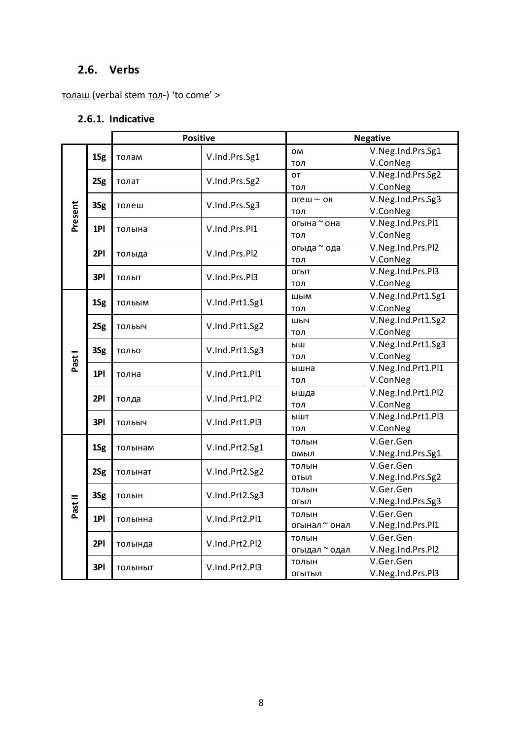# <span id="page-7-0"></span>**2.6. Verbs**

<span id="page-7-1"></span>толаш (verbal stem тол-) 'to come' >

# **2.6.1. Indicative**

| <b>Positive</b> |     |                                | <b>Negative</b>          |                    |                    |
|-----------------|-----|--------------------------------|--------------------------|--------------------|--------------------|
|                 | 1Sg | толам                          | V.Ind.Prs.Sg1            | OM                 | V.Neg.Ind.Prs.Sg1  |
|                 |     |                                |                          | тол                | V.ConNeg           |
|                 | 2Sg | толат                          | V.Ind.Prs.Sg2            | OT                 | V.Neg.Ind.Prs.Sg2  |
|                 |     |                                |                          | тол                | V.ConNeg           |
|                 | 3Sg | толеш                          | V.Ind.Prs.Sg3            | огеш $\sim$ ок     | V.Neg.Ind.Prs.Sg3  |
|                 |     |                                |                          | тол                | V.ConNeg           |
| Present         | 1PI | толына                         | V.Ind.Prs.Pl1            | огына ~ она        | V.Neg.Ind.Prs.Pl1  |
|                 |     |                                |                          | тол                | V.ConNeg           |
|                 | 2PI | толыда                         | V.Ind.Prs.Pl2            | огыда ~ ода        | V.Neg.Ind.Prs.Pl2  |
|                 |     |                                |                          | тол                | V.ConNeg           |
|                 | 3PI | ТОЛЫТ                          | V.Ind.Prs.Pl3            | ОГЫТ               | V.Neg.Ind.Prs.Pl3  |
|                 |     |                                |                          | тол                | V.ConNeg           |
|                 | 1Sg | тольым                         | V.Ind.Prt1.Sg1           | ШЫМ                | V.Neg.Ind.Prt1.Sg1 |
|                 |     |                                |                          | тол                | V.ConNeg           |
|                 | 2Sg |                                | V.Ind.Prt1.Sg2<br>тольыч | ШЫЧ                | V.Neg.Ind.Prt1.Sg2 |
|                 |     |                                |                          | тол                | V.ConNeg           |
|                 |     | 3Sg<br>V.Ind.Prt1.Sg3<br>тольо | ыш                       | V.Neg.Ind.Prt1.Sg3 |                    |
| Past I          |     |                                |                          | тол                | V.ConNeg           |
|                 | 1PI | толна                          | V.Ind.Prt1.Pl1           | ышна               | V.Neg.Ind.Prt1.Pl1 |
|                 |     |                                |                          | тол                | V.ConNeg           |
|                 | 2PI | толда                          | V.Ind.Prt1.Pl2           | ышда               | V.Neg.Ind.Prt1.Pl2 |
|                 |     |                                |                          | тол                | V.ConNeg           |
|                 | 3PI | ТОЛЬЫЧ                         | V.Ind.Prt1.Pl3           | ЫШТ                | V.Neg.Ind.Prt1.Pl3 |
|                 |     |                                |                          | тол                | V.ConNeg           |
|                 | 1Sg | толынам                        | V.Ind.Prt2.Sg1           | толын              | V.Ger.Gen          |
|                 |     |                                |                          | омыл               | V.Neg.Ind.Prs.Sg1  |
|                 | 2Sg | толынат                        | V.Ind.Prt2.Sg2           | толын              | V.Ger.Gen          |
|                 |     |                                |                          | ОТЫЛ               | V.Neg.Ind.Prs.Sg2  |
|                 | 3Sg | толын                          | V.Ind.Prt2.Sg3           | толын              | V.Ger.Gen          |
| Past II         |     |                                |                          | огыл               | V.Neg.Ind.Prs.Sg3  |
|                 | 1PI | толынна                        | V.Ind.Prt2.Pl1           | толын              | V.Ger.Gen          |
|                 |     |                                |                          | огынал ~ онал      | V.Neg.Ind.Prs.Pl1  |
|                 | 2PI | толында                        | V.Ind.Prt2.Pl2           | толын              | V.Ger.Gen          |
|                 |     |                                |                          | огыдал ~ одал      | V.Neg.Ind.Prs.Pl2  |
|                 | 3PI | <b>ТОЛЫНЫТ</b>                 | V.Ind.Prt2.Pl3           | толын              | V.Ger.Gen          |
|                 |     |                                | ОГЫТЫЛ                   | V.Neg.Ind.Prs.Pl3  |                    |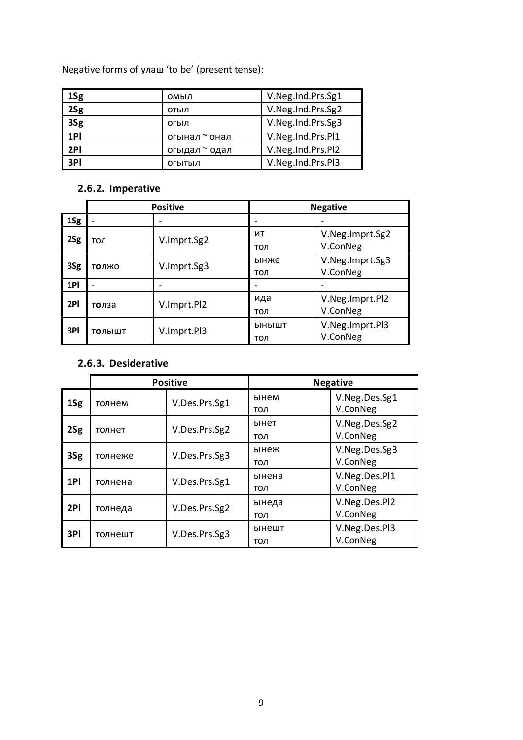Negative forms of улаш 'to be' (present tense):

| 1Sg | омыл          | V.Neg.Ind.Prs.Sg1 |
|-----|---------------|-------------------|
| 2Sg | отыл          | V.Neg.Ind.Prs.Sg2 |
| 3Sg | огыл          | V.Neg.Ind.Prs.Sg3 |
| 1PI | огынал ~ онал | V.Neg.Ind.Prs.Pl1 |
| 2PI | огыдал ~ одал | V.Neg.Ind.Prs.Pl2 |
| 3PI | ОГЫТЫЛ        | V.Neg.Ind.Prs.Pl3 |

# <span id="page-8-0"></span>**2.6.2. Imperative**

|     | <b>Positive</b>          |             | <b>Negative</b> |                             |
|-----|--------------------------|-------------|-----------------|-----------------------------|
| 1Sg |                          |             |                 |                             |
| 2Sg | тол                      | V.Imprt.Sg2 | ит<br>тол       | V.Neg.Imprt.Sg2<br>V.ConNeg |
| 3Sg | толжо                    | V.Imprt.Sg3 | ынже<br>тол     | V.Neg.Imprt.Sg3<br>V.ConNeg |
| 1PI | $\overline{\phantom{0}}$ |             |                 |                             |
| 2PI | толза                    | V.Imprt.Pl2 | ида<br>тол      | V.Neg.Imprt.Pl2<br>V.ConNeg |
| 3PI | ТОЛЫШТ                   | V.Imprt.Pl3 | ынышт<br>тол    | V.Neg.Imprt.Pl3<br>V.ConNeg |

## <span id="page-8-1"></span>**2.6.3. Desiderative**

|     | <b>Positive</b> |               | <b>Negative</b> |                           |
|-----|-----------------|---------------|-----------------|---------------------------|
| 1Sg | толнем          | V.Des.Prs.Sg1 | ынем<br>тол     | V.Neg.Des.Sg1<br>V.ConNeg |
| 2Sg | толнет          | V.Des.Prs.Sg2 | ынет<br>тол     | V.Neg.Des.Sg2<br>V.ConNeg |
| 3Sg | толнеже         | V.Des.Prs.Sg3 | ынеж<br>тол     | V.Neg.Des.Sg3<br>V.ConNeg |
| 1PI | толнена         | V.Des.Prs.Sg1 | ынена<br>тол    | V.Neg.Des.Pl1<br>V.ConNeg |
| 2PI | толнеда         | V.Des.Prs.Sg2 | ынеда<br>тол    | V.Neg.Des.Pl2<br>V.ConNeg |
| 3PI | толнешт         | V.Des.Prs.Sg3 | ынешт<br>тол    | V.Neg.Des.Pl3<br>V.ConNeg |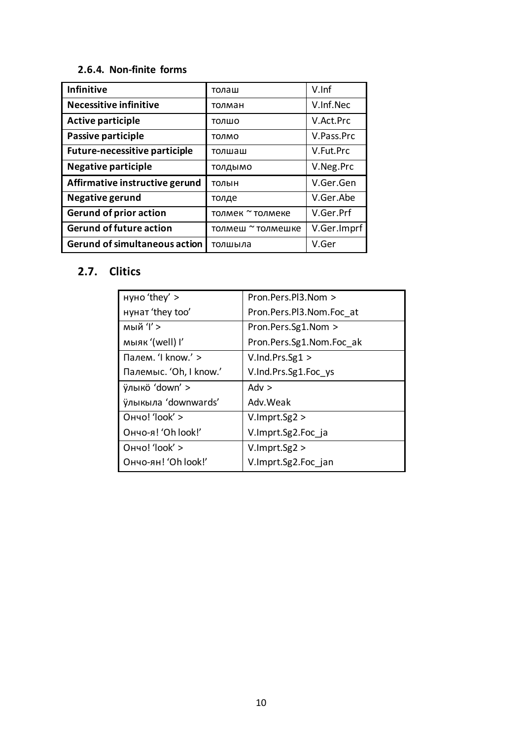### <span id="page-9-0"></span>**2.6.4. Non-finite forms**

| <b>Infinitive</b>                    | толаш             | $V$ . Inf   |
|--------------------------------------|-------------------|-------------|
| <b>Necessitive infinitive</b>        | толман            | V.Inf.Nec   |
| <b>Active participle</b>             | толшо             | V.Act.Prc   |
| Passive participle                   | толмо             | V.Pass.Prc  |
| <b>Future-necessitive participle</b> | толшаш            | V.Fut.Prc   |
| <b>Negative participle</b>           | ТОЛДЫМО           | V.Neg.Prc   |
| Affirmative instructive gerund       | толын             | V.Ger.Gen   |
| Negative gerund                      | толде             | V.Ger.Abe   |
| <b>Gerund of prior action</b>        | толмек ~ толмеке  | V.Ger.Prf   |
| <b>Gerund of future action</b>       | толмеш ~ толмешке | V.Ger.Imprf |
| <b>Gerund of simultaneous action</b> | толшыла           | V.Ger       |

# <span id="page-9-1"></span>**2.7. Clitics**

| нуно 'they' >          | Pron.Pers.Pl3.Nom >      |
|------------------------|--------------------------|
| нунат 'they too'       | Pron.Pers.Pl3.Nom.Foc at |
| мый 'I' >              | Pron.Pers.Sg1.Nom >      |
| мыяк '(well) I'        | Pron.Pers.Sg1.Nom.Foc ak |
| Палем. 'I know.' >     | $V$ . Ind. Prs. $Sg1 >$  |
| Палемыс. 'Oh, I know.' | V.Ind.Prs.Sg1.Foc ys     |
| ÿлыкö 'down' >         | Adv $>$                  |
| ўлыкыла 'downwards'    | Adv. Weak                |
| Ончо! 'look' >         | V.lmprt.Sg2 >            |
| Ончо-я! 'Oh look!'     | V.Imprt.Sg2.Foc ja       |
| Ончо! 'look' >         | V.lmprt.Sg2 >            |
| Ончо-ян! 'Oh look!'    | V.Imprt.Sg2.Foc jan      |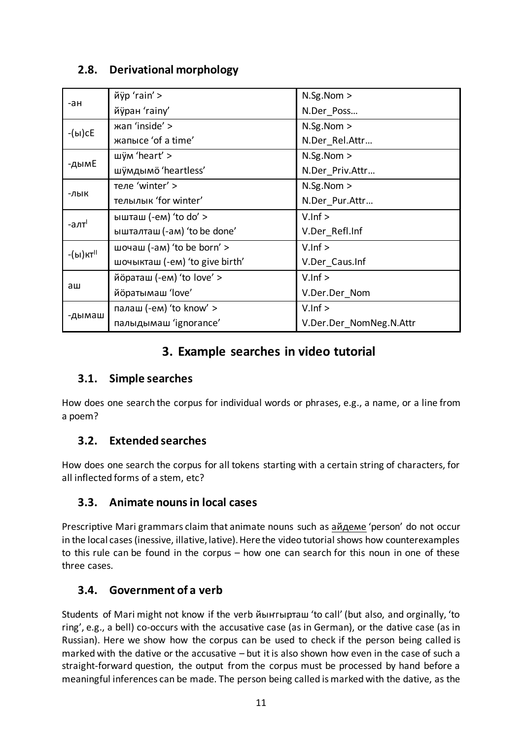# <span id="page-10-0"></span>**2.8. Derivational morphology**

|                      | йÿр 'rain' >                   | N.Sg.Nom >      |
|----------------------|--------------------------------|-----------------|
| -ан                  | йўран 'rainy'                  | N.Der Poss      |
| -(ы)с $E$            | жап 'inside' >                 | N.Sg.Nom >      |
|                      | жапысе 'of a time'             | N.Der Rel.Attr  |
|                      | шум 'heart' >                  | N.Sg.Nom >      |
| -дымЕ                | шўмдымö 'heartless'            | N.Der Priv.Attr |
|                      | теле 'winter' >                | N.Sg.Nom >      |
| -лык                 | телылык 'for winter'           | N.Der Pur.Attr  |
|                      |                                |                 |
|                      | ышташ (-ем) 'to do' >          | $V . Inf >$     |
| -алт <sup>і</sup>    | ышталташ (-ам) 'to be done'    | V.Der Refl.Inf  |
|                      | шочаш (-ам) 'to be born' >     | V.lnf >         |
| -(ы)кт <sup>іі</sup> | шочыкташ (-eм) 'to give birth' | V.Der_Caus.Inf  |
|                      | йöраташ (-ем) 'to love' >      | $V . Inf >$     |
| аш                   | йöратымаш 'love'               | V.Der.Der_Nom   |
| -дымаш               | палаш (-ем) 'to know' >        | $V . Inf >$     |

# **3. Example searches in video tutorial**

## <span id="page-10-2"></span><span id="page-10-1"></span>**3.1. Simple searches**

How does one search the corpus for individual words or phrases, e.g., a name, or a line from a poem?

# <span id="page-10-3"></span>**3.2. Extended searches**

How does one search the corpus for all tokens starting with a certain string of characters, for all inflected forms of a stem, etc?

# <span id="page-10-4"></span>**3.3. Animate nouns in local cases**

Prescriptive Mari grammars claim that animate nouns such as айдеме 'person' do not occur in the local cases (inessive, illative, lative). Here the video tutorial shows how counterexamples to this rule can be found in the corpus – how one can search for this noun in one of these three cases.

# <span id="page-10-5"></span>**3.4. Government of a verb**

Students of Mari might not know if the verb йыҥгырташ 'to call' (but also, and orginally, 'to ring', e.g., a bell) co-occurs with the accusative case (as in German), or the dative case (as in Russian). Here we show how the corpus can be used to check if the person being called is marked with the dative or the accusative – but it is also shown how even in the case of such a straight-forward question, the output from the corpus must be processed by hand before a meaningful inferences can be made. The person being called is marked with the dative, as the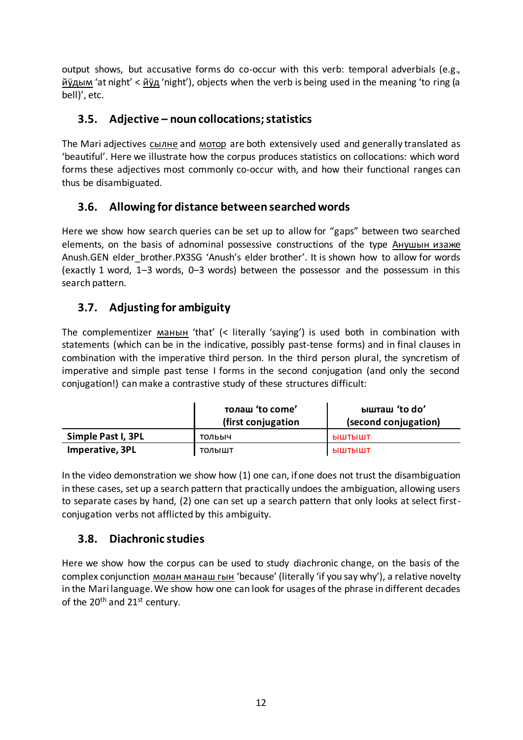output shows, but accusative forms do co-occur with this verb: temporal adverbials (e.g., йӱдым 'at night' < йӱд 'night'), objects when the verb is being used in the meaning 'to ring (a bell)', etc.

## <span id="page-11-0"></span>**3.5. Adjective – noun collocations; statistics**

The Mari adjectives сылне and мотор are both extensively used and generally translated as 'beautiful'. Here we illustrate how the corpus produces statistics on collocations: which word forms these adjectives most commonly co-occur with, and how their functional ranges can thus be disambiguated.

## <span id="page-11-1"></span>**3.6. Allowing for distance between searched words**

Here we show how search queries can be set up to allow for "gaps" between two searched elements, on the basis of adnominal possessive constructions of the type Анушын изаже Anush.GEN elder\_brother.PX3SG 'Anush's elder brother'. It is shown how to allow for words (exactly 1 word, 1–3 words, 0–3 words) between the possessor and the possessum in this search pattern.

## <span id="page-11-2"></span>**3.7. Adjusting for ambiguity**

The complementizer манын 'that' (< literally 'saying') is used both in combination with statements (which can be in the indicative, possibly past-tense forms) and in final clauses in combination with the imperative third person. In the third person plural, the syncretism of imperative and simple past tense I forms in the second conjugation (and only the second conjugation!) can make a contrastive study of these structures difficult:

|                    | толаш 'to come'<br>(first conjugation | ышташ 'to do'<br>(second conjugation) |
|--------------------|---------------------------------------|---------------------------------------|
| Simple Past I, 3PL | тольыч                                | ЫШТЫШТ                                |
| Imperative, 3PL    | толышт                                | ыштышт                                |

In the video demonstration we show how (1) one can, if one does not trust the disambiguation in these cases, set up a search pattern that practically undoes the ambiguation, allowing users to separate cases by hand, (2) one can set up a search pattern that only looks at select firstconjugation verbs not afflicted by this ambiguity.

## <span id="page-11-3"></span>**3.8. Diachronic studies**

Here we show how the corpus can be used to study diachronic change, on the basis of the complex conjunction молан манаш гын 'because' (literally 'if you say why'), a relative novelty in the Mari language. We show how one can look for usages of the phrase in different decades of the  $20<sup>th</sup>$  and  $21<sup>st</sup>$  century.